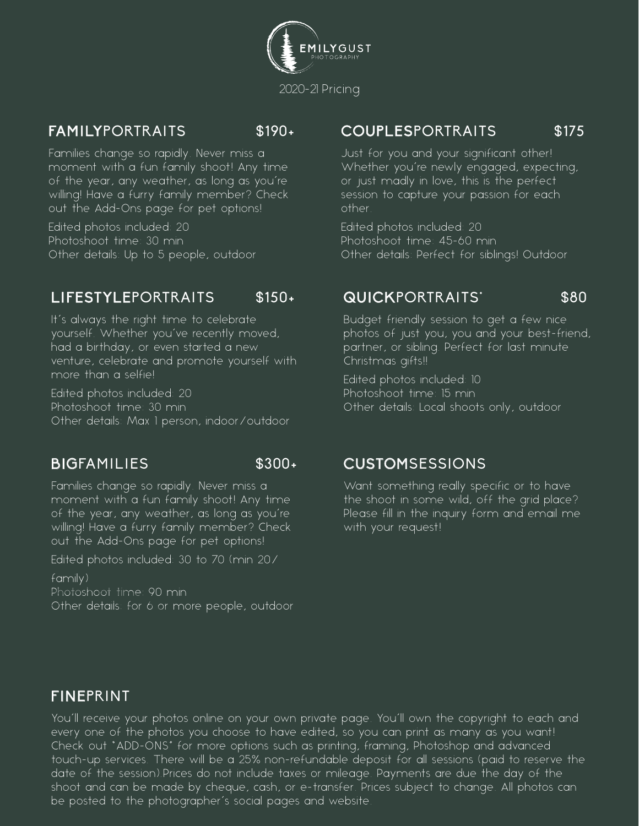

## FAMILYPORTRAITS \$190+

Families change so rapidly. Never miss a moment with a fun family shoot! Any time of the year, any weather, as long as you're willing! Have a furry family member? Check out the Add-Ons page for pet options!

Edited photos included: 20 Photoshoot time: 30 min Other details: Up to 5 people, outdoor

## LIFESTYLEPORTRAITS \$150+

It's always the right time to celebrate yourself. Whether you've recently moved, had a birthday, or even started a new venture, celebrate and promote yourself with more than a selfie!

Edited photos included: 20 Photoshoot time: 30 min Other details: Max 1 person, indoor/outdoor

## BIGFAMILIES \$300+

Families change so rapidly. Never miss a moment with a fun family shoot! Any time of the year, any weather, as long as you're willing! Have a furry family member? Check out the Add-Ons page for pet options!

Edited photos included: 30 to 70 (min 20/

family) Photoshoot time: 90 min Other details: for 6 or more people, outdoor

### COUPLESPORTRAITS \$175

Just for you and your significant other! Whether you're newly engaged, expecting, or just madly in love, this is the perfect session to capture your passion for each other.

Edited photos included: 20 Photoshoot time: 45-60 min Other details: Perfect for siblings! Outdoor

### QUICKPORTRAITS' \$80

Budget friendly session to get a few nice photos of just you, you and your best-friend, partner, or sibling. Perfect for last minute Christmas gifts!!

Edited photos included: 10 Photoshoot time: 15 min Other details: Local shoots only, outdoor

### CUSTOMSESSIONS

Want something really specific or to have the shoot in some wild, off the grid place? Please fill in the inquiry form and email me with your request!

## FINEPRINT

You'll receive your photos online on your own private page. You'll own the copyright to each and every one of the photos you choose to have edited, so you can print as many as you want! Check out "ADD-ONS" for more options such as printing, framing, Photoshop and advanced touch-up services. There will be a 25% non-refundable deposit for all sessions (paid to reserve the date of the session).Prices do not include taxes or mileage. Payments are due the day of the shoot and can be made by cheque, cash, or e-transfer. Prices subject to change. All photos can be posted to the photographer's social pages and website.